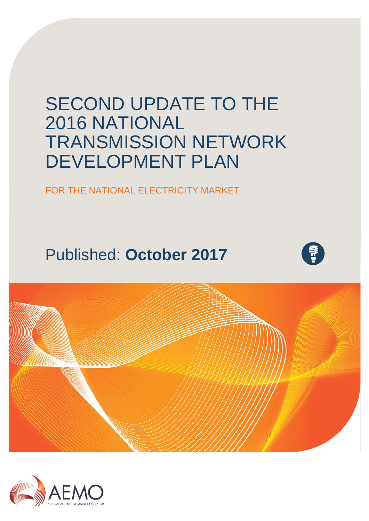# SECOND UPDATE TO THE 2016 NATIONAL TRANSMISSION NETWORK DEVELOPMENT PLAN

FOR THE NATIONAL ELECTRICITY MARKET

# Published: **October 2017**





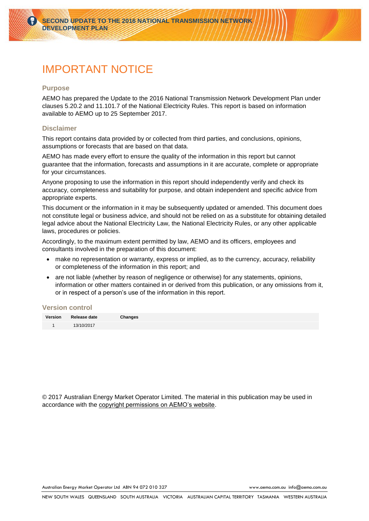## IMPORTANT NOTICE

#### **Purpose**

AEMO has prepared the Update to the 2016 National Transmission Network Development Plan under clauses 5.20.2 and 11.101.7 of the National Electricity Rules. This report is based on information available to AEMO up to 25 September 2017.

#### **Disclaimer**

This report contains data provided by or collected from third parties, and conclusions, opinions, assumptions or forecasts that are based on that data.

AEMO has made every effort to ensure the quality of the information in this report but cannot guarantee that the information, forecasts and assumptions in it are accurate, complete or appropriate for your circumstances.

Anyone proposing to use the information in this report should independently verify and check its accuracy, completeness and suitability for purpose, and obtain independent and specific advice from appropriate experts.

This document or the information in it may be subsequently updated or amended. This document does not constitute legal or business advice, and should not be relied on as a substitute for obtaining detailed legal advice about the National Electricity Law, the National Electricity Rules, or any other applicable laws, procedures or policies.

Accordingly, to the maximum extent permitted by law, AEMO and its officers, employees and consultants involved in the preparation of this document:

- make no representation or warranty, express or implied, as to the currency, accuracy, reliability or completeness of the information in this report; and
- are not liable (whether by reason of negligence or otherwise) for any statements, opinions, information or other matters contained in or derived from this publication, or any omissions from it, or in respect of a person's use of the information in this report.

#### **Version control**

| Version Release date | Changes |
|----------------------|---------|
| 13/10/2017           |         |

© 2017 Australian Energy Market Operator Limited. The material in this publication may be used in accordance with the [copyright permissions on AEMO's website.](http://aemo.com.au/Privacy_and_Legal_Notices/Copyright_Permissions_Notice)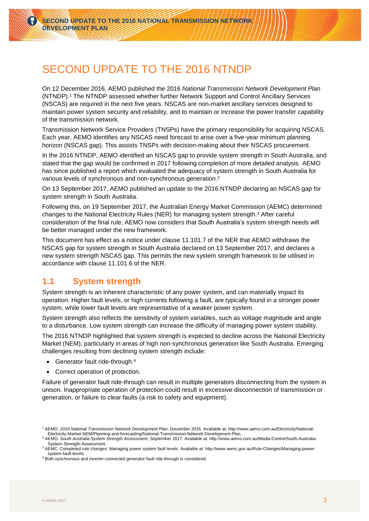## SECOND UPDATE TO THE 2016 NTNDP

On 12 December 2016, AEMO published the 2016 *National Transmission Network Development Plan* (NTNDP). <sup>1</sup> The NTNDP assessed whether further Network Support and Control Ancillary Services (NSCAS) are required in the next five years. NSCAS are non-market ancillary services designed to maintain power system security and reliability, and to maintain or increase the power transfer capability of the transmission network.

Transmission Network Service Providers (TNSPs) have the primary responsibility for acquiring NSCAS. Each year, AEMO identifies any NSCAS need forecast to arise over a five-year minimum planning horizon (NSCAS gap). This assists TNSPs with decision-making about their NSCAS procurement.

In the 2016 NTNDP, AEMO identified an NSCAS gap to provide system strength in South Australia, and stated that the gap would be confirmed in 2017 following completion of more detailed analysis. AEMO has since published a report which evaluated the adequacy of system strength in South Australia for various levels of synchronous and non-synchronous generation. 2

On 13 September 2017, AEMO published an update to the 2016 NTNDP declaring an NSCAS gap for system strength in South Australia.

Following this, on 19 September 2017, the Australian Energy Market Commission (AEMC) determined changes to the National Electricity Rules (NER) for managing system strength. <sup>3</sup> After careful consideration of the final rule, AEMO now considers that South Australia's system strength needs will be better managed under the new framework.

This document has effect as a notice under clause 11.101.7 of the NER that AEMO withdraws the NSCAS gap for system strength in South Australia declared on 13 September 2017, and declares a new system strength NSCAS gap. This permits the new system strength framework to be utilised in accordance with clause 11.101.6 of the NER.

## **1.1 System strength**

System strength is an inherent characteristic of any power system, and can materially impact its operation. Higher fault levels, or high currents following a fault, are typically found in a stronger power system, while lower fault levels are representative of a weaker power system.

System strength also reflects the sensitivity of system variables, such as voltage magnitude and angle to a disturbance. Low system strength can increase the difficulty of managing power system stability.

The 2016 NTNDP highlighted that system strength is expected to decline across the National Electricity Market (NEM), particularly in areas of high non-synchronous generation like South Australia. Emerging challenges resulting from declining system strength include:

- Generator fault ride-through.<sup>4</sup>
- Correct operation of protection.

Failure of generator fault ride-through can result in multiple generators disconnecting from the system in unison. Inappropriate operation of protection could result in excessive disconnection of transmission or generation, or failure to clear faults (a risk to safety and equipment).

<sup>1</sup> AEMO. *2016 National Transmission Network Development Plan*, December 2016. Available at[: http://www.aemo.com.au/Electricity/National-](http://www.aemo.com.au/Electricity/National-Electricity-Market-NEM/Planning-and-forecasting/National-Transmission-Network-Development-Plan)[Electricity-Market-NEM/Planning-and-forecasting/National-Transmission-Network-Development-Plan.](http://www.aemo.com.au/Electricity/National-Electricity-Market-NEM/Planning-and-forecasting/National-Transmission-Network-Development-Plan)

<sup>2</sup> AEMO. *South Australia System Strength Assessment*, September 2017. Available at: [http://www.aemo.com.au/Media-Centre/South-Australia-](http://www.aemo.com.au/Media-Centre/South-Australia-System-Strength-Assessment)[System-Strength-Assessment.](http://www.aemo.com.au/Media-Centre/South-Australia-System-Strength-Assessment)

<sup>3</sup> AEMC. Completed rule changes: Managing power system fault levels. Available at[: http://www.aemc.gov.au/Rule-Changes/Managing-power](http://www.aemc.gov.au/Rule-Changes/Managing-power-system-fault-levels)[system-fault-levels.](http://www.aemc.gov.au/Rule-Changes/Managing-power-system-fault-levels)

<sup>4</sup> Both synchronous and inverter-connected generator fault ride-through is considered.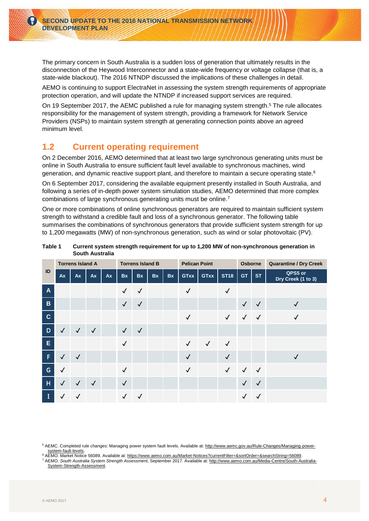The primary concern in South Australia is a sudden loss of generation that ultimately results in the disconnection of the Heywood Interconnector and a state-wide frequency or voltage collapse (that is, a state-wide blackout). The 2016 NTNDP discussed the implications of these challenges in detail.

AEMO is continuing to support ElectraNet in assessing the system strength requirements of appropriate protection operation, and will update the NTNDP if increased support services are required.

On 19 September 2017, the AEMC published a rule for managing system strength.<sup>5</sup> The rule allocates responsibility for the management of system strength, providing a framework for Network Service Providers (NSPs) to maintain system strength at generating connection points above an agreed minimum level.

## <span id="page-3-0"></span>**1.2 Current operating requirement**

On 2 December 2016, AEMO determined that at least two large synchronous generating units must be online in South Australia to ensure sufficient fault level available to synchronous machines, wind generation, and dynamic reactive support plant, and therefore to maintain a secure operating state. 6

On 6 September 2017, considering the available equipment presently installed in South Australia, and following a series of in-depth power system simulation studies, AEMO determined that more complex combinations of large synchronous generating units must be online. 7

One or more combinations of online synchronous generators are required to maintain sufficient system strength to withstand a credible fault and loss of a synchronous generator. The following table summarises the combinations of synchronous generators that provide sufficient system strength for up to 1,200 megawatts (MW) of non-synchronous generation, such as wind or solar photovoltaic (PV).

| ID             | <b>Torrens Island A</b> |              |              | <b>Torrens Island B</b> |              |              | <b>Pelican Point</b> |    |              | Osborne      |              | <b>Quarantine / Dry Creek</b> |              |                               |
|----------------|-------------------------|--------------|--------------|-------------------------|--------------|--------------|----------------------|----|--------------|--------------|--------------|-------------------------------|--------------|-------------------------------|
|                | Ax                      | Ax           | Ax           | <b>Ax</b>               | <b>Bx</b>    | <b>Bx</b>    | <b>Bx</b>            | Bx | <b>GTxx</b>  | <b>GTxx</b>  | <b>ST18</b>  | <b>GT</b>                     | <b>ST</b>    | QPS5 or<br>Dry Creek (1 to 3) |
| $\overline{A}$ |                         |              |              |                         | $\checkmark$ | $\checkmark$ |                      |    | $\checkmark$ |              | $\checkmark$ |                               |              |                               |
| $\mathbf B$    |                         |              |              |                         | $\checkmark$ | $\checkmark$ |                      |    |              |              |              | $\checkmark$                  | $\checkmark$ | $\checkmark$                  |
| $\mathbf{C}$   |                         |              |              |                         |              |              |                      |    | $\checkmark$ |              | $\sqrt{2}$   | $\checkmark$                  | $\checkmark$ | $\checkmark$                  |
| D              | $\checkmark$            | $\checkmark$ | $\checkmark$ |                         | $\checkmark$ | $\checkmark$ |                      |    |              |              |              |                               |              |                               |
| E              |                         |              |              |                         | $\checkmark$ |              |                      |    | $\checkmark$ | $\checkmark$ | $\checkmark$ |                               |              |                               |
| F.             | $\checkmark$            | $\checkmark$ |              |                         |              |              |                      |    | $\checkmark$ |              | $\checkmark$ |                               |              | $\checkmark$                  |
| $\mathsf{G}$   | $\checkmark$            |              |              |                         | $\checkmark$ |              |                      |    | $\checkmark$ |              | $\checkmark$ | $\checkmark$                  | $\sqrt{ }$   |                               |
| $\overline{H}$ | $\checkmark$            | $\checkmark$ | $\checkmark$ |                         | $\checkmark$ |              |                      |    |              |              |              | $\checkmark$                  | $\checkmark$ |                               |
| T              | ✓                       | ✓            |              |                         | $\checkmark$ | $\checkmark$ |                      |    |              |              |              | $\checkmark$                  | $\checkmark$ |                               |

#### **Table 1 Current system strength requirement for up to 1,200 MW of non-synchronous generation in South Australia**

5 AEMC. Completed rule changes: Managing power system fault levels. Available at[: http://www.aemc.gov.au/Rule-Changes/Managing-power](http://www.aemc.gov.au/Rule-Changes/Managing-power-system-fault-levels)[system-fault-levels.](http://www.aemc.gov.au/Rule-Changes/Managing-power-system-fault-levels)

<sup>6</sup> AEMO. Market Notice 56089. Available at[: https://www.aemo.com.au/Market-Notices?currentFilter=&sortOrder=&searchString=56089.](https://www.aemo.com.au/Market-Notices?currentFilter=&sortOrder=&searchString=56089) <sup>7</sup> AEMO. *South Australia System Strength Assessment*, September 2017. Available at: [http://www.aemo.com.au/Media-Centre/South-Australia-](http://www.aemo.com.au/Media-Centre/South-Australia-System-Strength-Assessment)[System-Strength-Assessment.](http://www.aemo.com.au/Media-Centre/South-Australia-System-Strength-Assessment)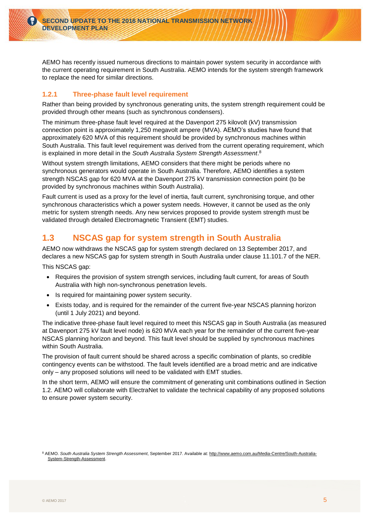AEMO has recently issued numerous directions to maintain power system security in accordance with the current operating requirement in South Australia. AEMO intends for the system strength framework to replace the need for similar directions.

### **1.2.1 Three-phase fault level requirement**

Rather than being provided by synchronous generating units, the system strength requirement could be provided through other means (such as synchronous condensers).

The minimum three-phase fault level required at the Davenport 275 kilovolt (kV) transmission connection point is approximately 1,250 megavolt ampere (MVA). AEMO's studies have found that approximately 620 MVA of this requirement should be provided by synchronous machines within South Australia. This fault level requirement was derived from the current operating requirement, which is explained in more detail in the *South Australia System Strength Assessment*. 8

Without system strength limitations, AEMO considers that there might be periods where no synchronous generators would operate in South Australia. Therefore, AEMO identifies a system strength NSCAS gap for 620 MVA at the Davenport 275 kV transmission connection point (to be provided by synchronous machines within South Australia).

Fault current is used as a proxy for the level of inertia, fault current, synchronising torque, and other synchronous characteristics which a power system needs. However, it cannot be used as the only metric for system strength needs. Any new services proposed to provide system strength must be validated through detailed Electromagnetic Transient (EMT) studies.

## **1.3 NSCAS gap for system strength in South Australia**

AEMO now withdraws the NSCAS gap for system strength declared on 13 September 2017, and declares a new NSCAS gap for system strength in South Australia under clause 11.101.7 of the NER.

This NSCAS gap:

- Requires the provision of system strength services, including fault current, for areas of South Australia with high non-synchronous penetration levels.
- Is required for maintaining power system security.
- Exists today, and is required for the remainder of the current five-year NSCAS planning horizon (until 1 July 2021) and beyond.

The indicative three-phase fault level required to meet this NSCAS gap in South Australia (as measured at Davenport 275 kV fault level node) is 620 MVA each year for the remainder of the current five-year NSCAS planning horizon and beyond. This fault level should be supplied by synchronous machines within South Australia.

The provision of fault current should be shared across a specific combination of plants, so credible contingency events can be withstood. The fault levels identified are a broad metric and are indicative only – any proposed solutions will need to be validated with EMT studies.

In the short term, AEMO will ensure the commitment of generating unit combinations outlined in Section [1.2.](#page-3-0) AEMO will collaborate with ElectraNet to validate the technical capability of any proposed solutions to ensure power system security.

<sup>8</sup> AEMO. *South Australia System Strength Assessment*, September 2017. Available at: [http://www.aemo.com.au/Media-Centre/South-Australia-](http://www.aemo.com.au/Media-Centre/South-Australia-System-Strength-Assessment)[System-Strength-Assessment.](http://www.aemo.com.au/Media-Centre/South-Australia-System-Strength-Assessment)